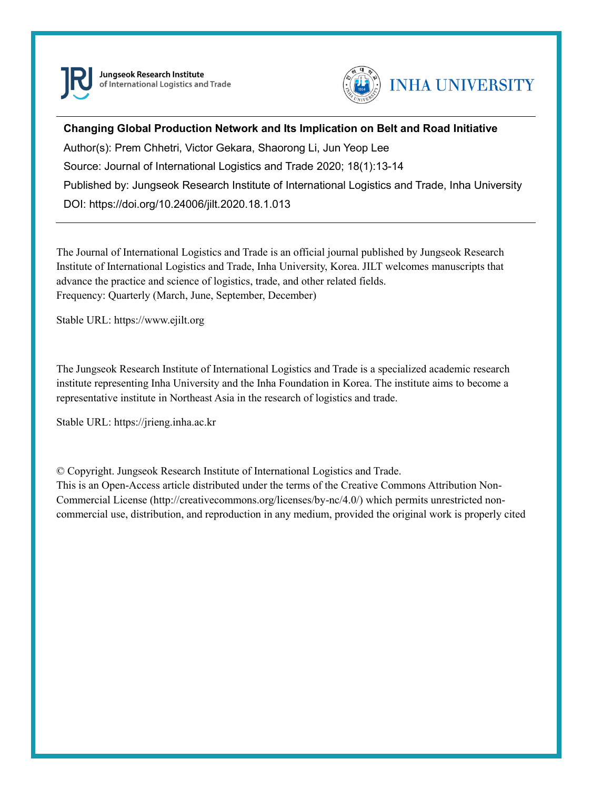

Jungseok Research Institute of International Logistics and Trade



### **Changing Global Production Network and Its Implication on Belt and Road Initiative**

Author(s): Prem Chhetri, Victor Gekara, Shaorong Li, Jun Yeop Lee Source: Journal of International Logistics and Trade 2020; 18(1):13-14 Published by: Jungseok Research Institute of International Logistics and Trade, Inha University DOI: https://doi.org/10.24006/jilt.2020.18.1.013

The Journal of International Logistics and Trade is an official journal published by Jungseok Research Institute of International Logistics and Trade, Inha University, Korea. JILT welcomes manuscripts that advance the practice and science of logistics, trade, and other related fields. Frequency: Quarterly (March, June, September, December)

Stable URL: https://www.ejilt.org

The Jungseok Research Institute of International Logistics and Trade is a specialized academic research institute representing Inha University and the Inha Foundation in Korea. The institute aims to become a representative institute in Northeast Asia in the research of logistics and trade.

Stable URL: https://jrieng.inha.ac.kr

© Copyright. Jungseok Research Institute of International Logistics and Trade.

This is an Open-Access article distributed under the terms of the Creative Commons Attribution Non-Commercial License (http://creativecommons.org/licenses/by-nc/4.0/) which permits unrestricted noncommercial use, distribution, and reproduction in any medium, provided the original work is properly cited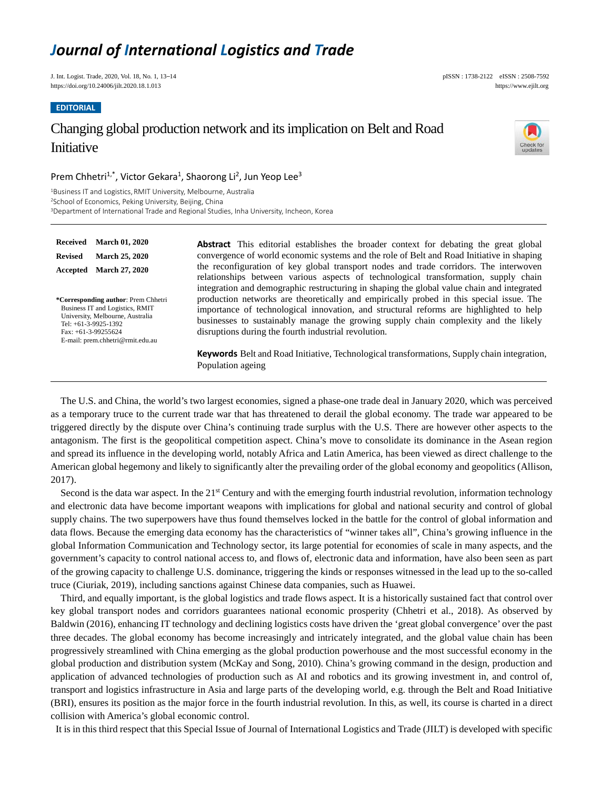# *Journal of International Logistics and Trade*

J. Int. Logist. Trade, 2020, Vol. 18, No. 1, 13–14 pISSN : 1738-2122 eISSN : 2508-7592 https://doi.org/10.24006/jilt.2020.18.1.013 https://www.ejilt.org

**EDITORIAL**

## Changing global production network and its implication on Belt and Road **Initiative**



### Prem Chhetri<sup>1,\*</sup>, Victor Gekara<sup>1</sup>, Shaorong Li<sup>2</sup>, Jun Yeop Lee<sup>3</sup>

<sup>1</sup>Business IT and Logistics, RMIT University, Melbourne, Australia <sup>2</sup>School of Economics, Peking University, Beijing, China <sup>3</sup>Department of International Trade and Regional Studies, Inha University, Incheon, Korea

**Received March 01, 2020 Revised March 25, 2020 Accepted March 27, 2020 \*Corresponding author**: Prem Chhetri Business IT and Logistics, RMIT University, Melbourne, Australia Tel: +61-3-9925-1392 Fax: +61-3-99255624 E-mail: prem.chhetri@rmit.edu.au

**Abstract** This editorial establishes the broader context for debating the great global convergence of world economic systems and the role of Belt and Road Initiative in shaping the reconfiguration of key global transport nodes and trade corridors. The interwoven relationships between various aspects of technological transformation, supply chain integration and demographic restructuring in shaping the global value chain and integrated production networks are theoretically and empirically probed in this special issue. The importance of technological innovation, and structural reforms are highlighted to help businesses to sustainably manage the growing supply chain complexity and the likely disruptions during the fourth industrial revolution.

**Keywords** Belt and Road Initiative, Technological transformations, Supply chain integration, Population ageing

The U.S. and China, the world's two largest economies, signed a phase-one trade deal in January 2020, which was perceived as a temporary truce to the current trade war that has threatened to derail the global economy. The trade war appeared to be triggered directly by the dispute over China's continuing trade surplus with the U.S. There are however other aspects to the antagonism. The first is the geopolitical competition aspect. China's move to consolidate its dominance in the Asean region and spread its influence in the developing world, notably Africa and Latin America, has been viewed as direct challenge to the American global hegemony and likely to significantly alter the prevailing order of the global economy and geopolitics (Allison, 2017).

Second is the data war aspect. In the 21<sup>st</sup> Century and with the emerging fourth industrial revolution, information technology and electronic data have become important weapons with implications for global and national security and control of global supply chains. The two superpowers have thus found themselves locked in the battle for the control of global information and data flows. Because the emerging data economy has the characteristics of "winner takes all", China's growing influence in the global Information Communication and Technology sector, its large potential for economies of scale in many aspects, and the government's capacity to control national access to, and flows of, electronic data and information, have also been seen as part of the growing capacity to challenge U.S. dominance, triggering the kinds or responses witnessed in the lead up to the so-called truce (Ciuriak, 2019), including sanctions against Chinese data companies, such as Huawei.

Third, and equally important, is the global logistics and trade flows aspect. It is a historically sustained fact that control over key global transport nodes and corridors guarantees national economic prosperity (Chhetri et al., 2018). As observed by Baldwin (2016), enhancing IT technology and declining logistics costs have driven the 'great global convergence' over the past three decades. The global economy has become increasingly and intricately integrated, and the global value chain has been progressively streamlined with China emerging as the global production powerhouse and the most successful economy in the global production and distribution system (McKay and Song, 2010). China's growing command in the design, production and application of advanced technologies of production such as AI and robotics and its growing investment in, and control of, transport and logistics infrastructure in Asia and large parts of the developing world, e.g. through the Belt and Road Initiative (BRI), ensures its position as the major force in the fourth industrial revolution. In this, as well, its course is charted in a direct collision with America's global economic control.

It is in this third respect that this Special Issue of Journal of International Logistics and Trade (JILT) is developed with specific